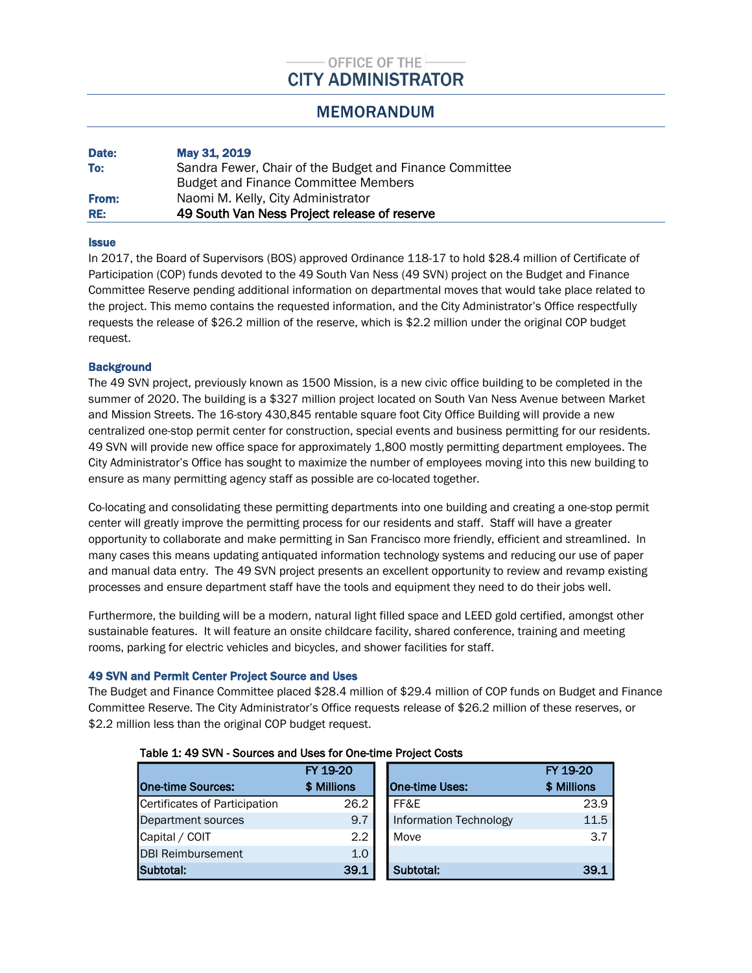# **OFFICE OF THE-CITY ADMINISTRATOR**

# MEMORANDUM

| Date: | May 31, 2019                                            |
|-------|---------------------------------------------------------|
| To:   | Sandra Fewer, Chair of the Budget and Finance Committee |
|       | <b>Budget and Finance Committee Members</b>             |
| From: | Naomi M. Kelly, City Administrator                      |
| RE.   | 49 South Van Ness Project release of reserve            |

# **Issue**

In 2017, the Board of Supervisors (BOS) approved Ordinance 118-17 to hold \$28.4 million of Certificate of Participation (COP) funds devoted to the 49 South Van Ness (49 SVN) project on the Budget and Finance Committee Reserve pending additional information on departmental moves that would take place related to the project. This memo contains the requested information, and the City Administrator's Office respectfully requests the release of \$26.2 million of the reserve, which is \$2.2 million under the original COP budget request.

#### **Background**

The 49 SVN project, previously known as 1500 Mission, is a new civic office building to be completed in the summer of 2020. The building is a \$327 million project located on South Van Ness Avenue between Market and Mission Streets. The 16-story 430,845 rentable square foot City Office Building will provide a new centralized one-stop permit center for construction, special events and business permitting for our residents. 49 SVN will provide new office space for approximately 1,800 mostly permitting department employees. The City Administrator's Office has sought to maximize the number of employees moving into this new building to ensure as many permitting agency staff as possible are co-located together.

Co-locating and consolidating these permitting departments into one building and creating a one-stop permit center will greatly improve the permitting process for our residents and staff. Staff will have a greater opportunity to collaborate and make permitting in San Francisco more friendly, efficient and streamlined. In many cases this means updating antiquated information technology systems and reducing our use of paper and manual data entry. The 49 SVN project presents an excellent opportunity to review and revamp existing processes and ensure department staff have the tools and equipment they need to do their jobs well.

Furthermore, the building will be a modern, natural light filled space and LEED gold certified, amongst other sustainable features. It will feature an onsite childcare facility, shared conference, training and meeting rooms, parking for electric vehicles and bicycles, and shower facilities for staff.

#### 49 SVN and Permit Center Project Source and Uses

The Budget and Finance Committee placed \$28.4 million of \$29.4 million of COP funds on Budget and Finance Committee Reserve. The City Administrator's Office requests release of \$26.2 million of these reserves, or \$2.2 million less than the original COP budget request.

|                               | FY 19-20    |  |                               | FY 19-20    |
|-------------------------------|-------------|--|-------------------------------|-------------|
| <b>One-time Sources:</b>      | \$ Millions |  | <b>One-time Uses:</b>         | \$ Millions |
| Certificates of Participation | 26.2        |  | FF&E                          | 23.9        |
| Department sources            | 9.7         |  | <b>Information Technology</b> | 11.5        |
| Capital / COIT                | 2.2         |  | Move                          | 3.7         |
| <b>DBI Reimbursement</b>      | 1.0         |  |                               |             |
| Subtotal:                     | 39.1        |  | Subtotal:                     | 39.1        |

# Table 1: 49 SVN - Sources and Uses for One-time Project Costs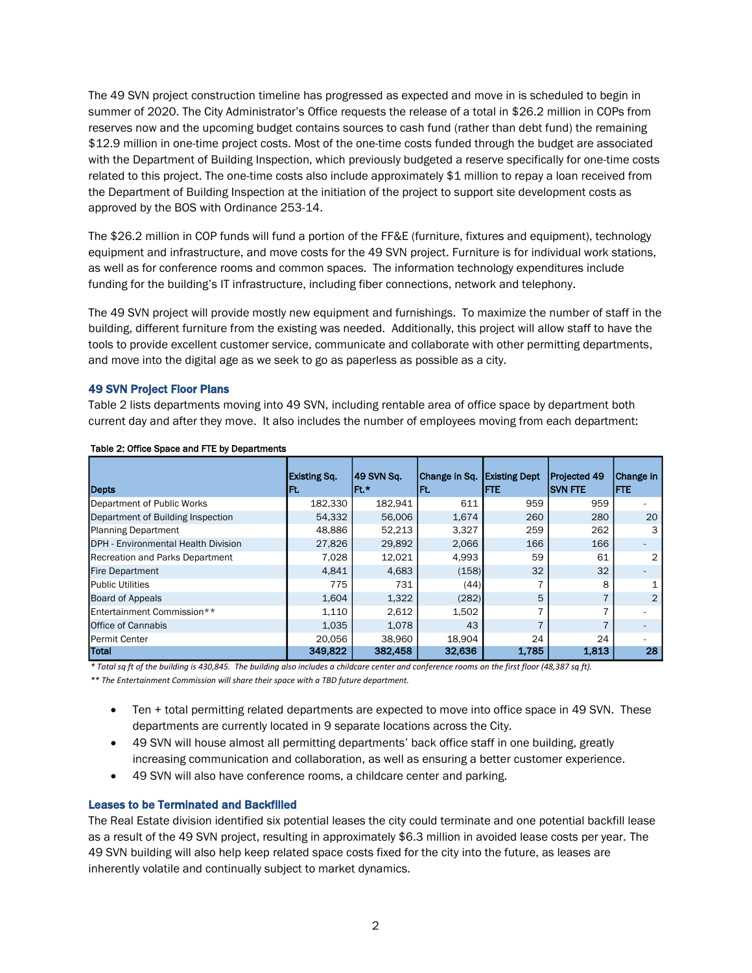The 49 SVN project construction timeline has progressed as expected and move in is scheduled to begin in summer of 2020. The City Administrator's Office requests the release of a total in \$26.2 million in COPs from reserves now and the upcoming budget contains sources to cash fund (rather than debt fund) the remaining \$12.9 million in one-time project costs. Most of the one-time costs funded through the budget are associated with the Department of Building Inspection, which previously budgeted a reserve specifically for one-time costs related to this project. The one-time costs also include approximately \$1 million to repay a loan received from the Department of Building Inspection at the initiation of the project to support site development costs as approved by the BOS with Ordinance 253-14.

The \$26.2 million in COP funds will fund a portion of the FF&E (furniture, fixtures and equipment), technology equipment and infrastructure, and move costs for the 49 SVN project. Furniture is for individual work stations, as well as for conference rooms and common spaces. The information technology expenditures include funding for the building's IT infrastructure, including fiber connections, network and telephony.

The 49 SVN project will provide mostly new equipment and furnishings. To maximize the number of staff in the building, different furniture from the existing was needed. Additionally, this project will allow staff to have the tools to provide excellent customer service, communicate and collaborate with other permitting departments, and move into the digital age as we seek to go as paperless as possible as a city.

# 49 SVN Project Floor Plans

Table 2 lists departments moving into 49 SVN, including rentable area of office space by department both current day and after they move. It also includes the number of employees moving from each department:

| <b>Depts</b>                        | <b>Existing Sq.</b><br>IFt. | 49 SVN Sq.<br>Ft.* | Change in Sq.<br>IFt. | <b>Existing Dept</b><br><b>IFTE</b> | Projected 49<br>ISVN FTE | Change in<br><b>FTE</b> |
|-------------------------------------|-----------------------------|--------------------|-----------------------|-------------------------------------|--------------------------|-------------------------|
| Department of Public Works          | 182,330                     | 182.941            | 611                   | 959                                 | 959                      |                         |
| Department of Building Inspection   | 54,332                      | 56,006             | 1,674                 | 260                                 | 280                      | 20                      |
| <b>Planning Department</b>          | 48,886                      | 52,213             | 3,327                 | 259                                 | 262                      |                         |
| DPH - Environmental Health Division | 27,826                      | 29,892             | 2,066                 | 166                                 | 166                      |                         |
| Recreation and Parks Department     | 7,028                       | 12.021             | 4.993                 | 59                                  | 61                       |                         |
| <b>Fire Department</b>              | 4,841                       | 4,683              | (158)                 | 32                                  | 32                       |                         |
| <b>Public Utilities</b>             | 775                         | 731                | (44)                  |                                     | 8                        |                         |
| Board of Appeals                    | 1,604                       | 1,322              | (282)                 | 5                                   |                          |                         |
| Entertainment Commission**          | 1,110                       | 2,612              | 1,502                 |                                     |                          |                         |
| <b>Office of Cannabis</b>           | 1,035                       | 1,078              | 43                    |                                     |                          |                         |
| Permit Center                       | 20,056                      | 38.960             | 18.904                | 24                                  | 24                       |                         |
| <b>Total</b>                        | 349,822                     | 382,458            | 32,636                | 1.785                               | 1.813                    | 28                      |

#### Table 2: Office Space and FTE by Departments

*\* Total sq ft of the building is 430,845. The building also includes a childcare center and conference rooms on the first floor (48,387 sq ft).*

*\*\* The Entertainment Commission will share their space with a TBD future department.*

- Ten + total permitting related departments are expected to move into office space in 49 SVN. These departments are currently located in 9 separate locations across the City.
- 49 SVN will house almost all permitting departments' back office staff in one building, greatly increasing communication and collaboration, as well as ensuring a better customer experience.
- 49 SVN will also have conference rooms, a childcare center and parking.

# Leases to be Terminated and Backfilled

The Real Estate division identified six potential leases the city could terminate and one potential backfill lease as a result of the 49 SVN project, resulting in approximately \$6.3 million in avoided lease costs per year. The 49 SVN building will also help keep related space costs fixed for the city into the future, as leases are inherently volatile and continually subject to market dynamics.